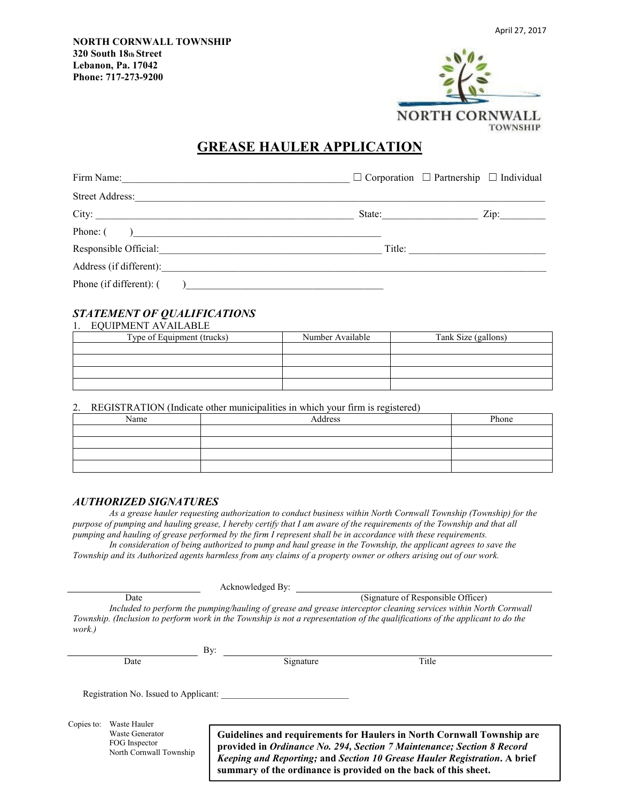

# **GREASE HAULER APPLICATION**

|                         |                                                                | $\Box$ Corporation $\Box$ Partnership $\Box$ Individual |  |  |
|-------------------------|----------------------------------------------------------------|---------------------------------------------------------|--|--|
|                         |                                                                |                                                         |  |  |
|                         | State: $\qquad \qquad$                                         | Zip:                                                    |  |  |
| Phone: $\qquad \qquad$  |                                                                |                                                         |  |  |
|                         |                                                                | Title:                                                  |  |  |
|                         |                                                                |                                                         |  |  |
| Phone (if different): ( | ) and the contract of the contract of $\overline{\phantom{a}}$ |                                                         |  |  |

## *STATEMENT OF QUALIFICATIONS*

| <b>EQUIPMENT AVAILABLE</b> |                  |                     |
|----------------------------|------------------|---------------------|
| Type of Equipment (trucks) | Number Available | Tank Size (gallons) |
|                            |                  |                     |
|                            |                  |                     |
|                            |                  |                     |
|                            |                  |                     |

2. REGISTRATION (Indicate other municipalities in which your firm is registered)

| Name | Address | Phone |
|------|---------|-------|
|      |         |       |
|      |         |       |
|      |         |       |
|      |         |       |

#### *AUTHORIZED SIGNATURES*

*As a grease hauler requesting authorization to conduct business within North Cornwall Township (Township) for the purpose of pumping and hauling grease, I hereby certify that I am aware of the requirements of the Township and that all pumping and hauling of grease performed by the firm I represent shall be in accordance with these requirements.*  In consideration of being authorized to pump and haul grease in the Township, the applicant agrees to save the

*Township and its Authorized agents harmless from any claims of a property owner or others arising out of our work.* 

Acknowledged By:

Date (Signature of Responsible Officer)

*Included to perform the pumping/hauling of grease and grease interceptor cleaning services within North Cornwall Township. (Inclusion to perform work in the Township is not a representation of the qualifications of the applicant to do the work.)* 

|      | . |           |      |
|------|---|-----------|------|
| Date |   | Signature | itle |

Registration No. Issued to Applicant:

Copies to: Waste Hauler Waste Generator FOG Inspector North Cornwall Township

**Guidelines and requirements for Haulers in North Cornwall Township are provided in** *Ordinance No. 294, Section 7 Maintenance; Section 8 Record Keeping and Reporting;* **and** *Section 10 Grease Hauler Registration***. A brief summary of the ordinance is provided on the back of this sheet.**